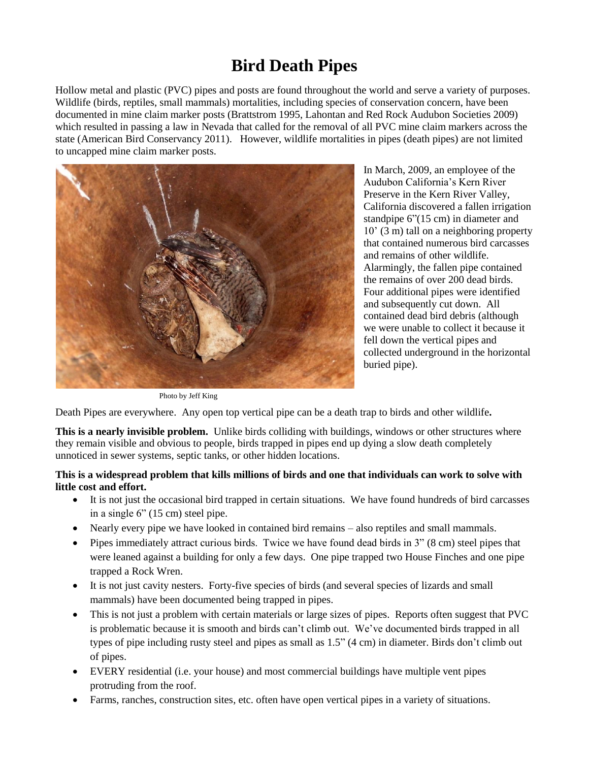# **Bird Death Pipes**

Hollow metal and plastic (PVC) pipes and posts are found throughout the world and serve a variety of purposes. Wildlife (birds, reptiles, small mammals) mortalities, including species of conservation concern, have been documented in mine claim marker posts (Brattstrom 1995, Lahontan and Red Rock Audubon Societies 2009) which resulted in passing a law in Nevada that called for the removal of all PVC mine claim markers across the state (American Bird Conservancy 2011). However, wildlife mortalities in pipes (death pipes) are not limited to uncapped mine claim marker posts.



In March, 2009, an employee of the Audubon California's Kern River Preserve in the Kern River Valley, California discovered a fallen irrigation standpipe 6"(15 cm) in diameter and 10' (3 m) tall on a neighboring property that contained numerous bird carcasses and remains of other wildlife. Alarmingly, the fallen pipe contained the remains of over 200 dead birds. Four additional pipes were identified and subsequently cut down. All contained dead bird debris (although we were unable to collect it because it fell down the vertical pipes and collected underground in the horizontal buried pipe).

Photo by Jeff King

Death Pipes are everywhere. Any open top vertical pipe can be a death trap to birds and other wildlife**.**

**This is a nearly invisible problem.** Unlike birds colliding with buildings, windows or other structures where they remain visible and obvious to people, birds trapped in pipes end up dying a slow death completely unnoticed in sewer systems, septic tanks, or other hidden locations.

## **This is a widespread problem that kills millions of birds and one that individuals can work to solve with little cost and effort.**

- It is not just the occasional bird trapped in certain situations. We have found hundreds of bird carcasses in a single 6" (15 cm) steel pipe.
- Nearly every pipe we have looked in contained bird remains also reptiles and small mammals.
- Pipes immediately attract curious birds. Twice we have found dead birds in 3" (8 cm) steel pipes that were leaned against a building for only a few days. One pipe trapped two House Finches and one pipe trapped a Rock Wren.
- It is not just cavity nesters. Forty-five species of birds (and several species of lizards and small mammals) have been documented being trapped in pipes.
- This is not just a problem with certain materials or large sizes of pipes. Reports often suggest that PVC is problematic because it is smooth and birds can't climb out. We've documented birds trapped in all types of pipe including rusty steel and pipes as small as 1.5" (4 cm) in diameter. Birds don't climb out of pipes.
- EVERY residential (i.e. your house) and most commercial buildings have multiple vent pipes protruding from the roof.
- Farms, ranches, construction sites, etc. often have open vertical pipes in a variety of situations.